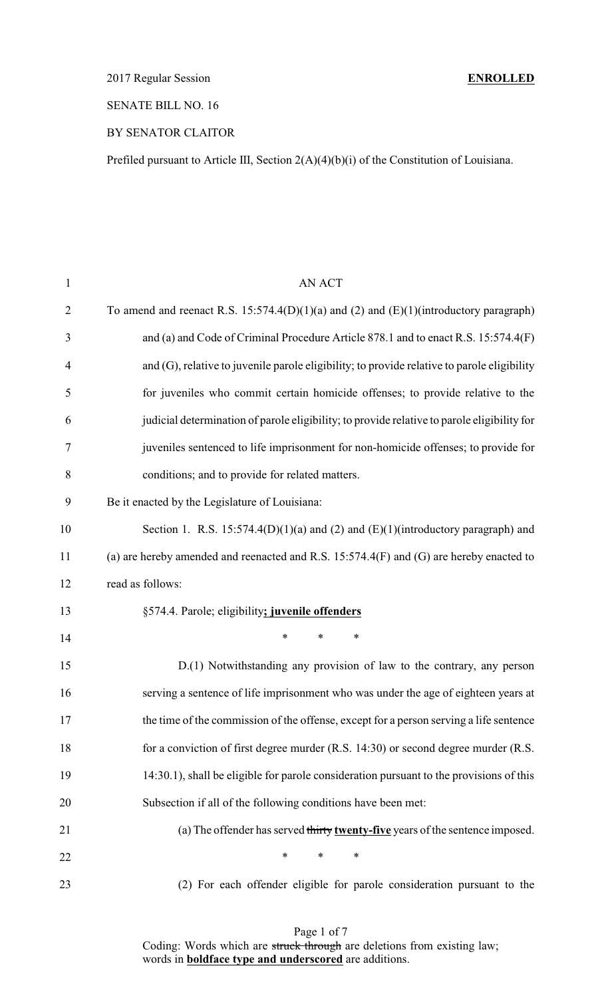2017 Regular Session **ENROLLED**

### SENATE BILL NO. 16

### BY SENATOR CLAITOR

Prefiled pursuant to Article III, Section 2(A)(4)(b)(i) of the Constitution of Louisiana.

| $\mathbf{1}$   | <b>AN ACT</b>                                                                               |
|----------------|---------------------------------------------------------------------------------------------|
| $\overline{2}$ | To amend and reenact R.S. $15:574.4(D)(1)(a)$ and (2) and (E)(1)(introductory paragraph)    |
| 3              | and (a) and Code of Criminal Procedure Article 878.1 and to enact R.S. 15:574.4(F)          |
| $\overline{4}$ | and (G), relative to juvenile parole eligibility; to provide relative to parole eligibility |
| 5              | for juveniles who commit certain homicide offenses; to provide relative to the              |
| 6              | judicial determination of parole eligibility; to provide relative to parole eligibility for |
| 7              | juveniles sentenced to life imprisonment for non-homicide offenses; to provide for          |
| 8              | conditions; and to provide for related matters.                                             |
| 9              | Be it enacted by the Legislature of Louisiana:                                              |
| 10             | Section 1. R.S. 15:574.4(D)(1)(a) and (2) and (E)(1)(introductory paragraph) and            |
| 11             | (a) are hereby amended and reenacted and R.S. $15:574.4(F)$ and (G) are hereby enacted to   |
| 12             | read as follows:                                                                            |
| 13             | §574.4. Parole; eligibility; juvenile offenders                                             |
| 14             | $\ast$<br>*<br>$\ast$                                                                       |
| 15             | D.(1) Notwithstanding any provision of law to the contrary, any person                      |
| 16             | serving a sentence of life imprisonment who was under the age of eighteen years at          |
| 17             | the time of the commission of the offense, except for a person serving a life sentence      |
| 18             | for a conviction of first degree murder (R.S. 14:30) or second degree murder (R.S.          |
| 19             | 14:30.1), shall be eligible for parole consideration pursuant to the provisions of this     |
| 20             | Subsection if all of the following conditions have been met:                                |
| 21             | (a) The offender has served thirty twenty-five years of the sentence imposed.               |
| 22             | $\ast$<br>$\ast$<br>∗                                                                       |
| 23             | (2) For each offender eligible for parole consideration pursuant to the                     |

Page 1 of 7 Coding: Words which are struck through are deletions from existing law; words in **boldface type and underscored** are additions.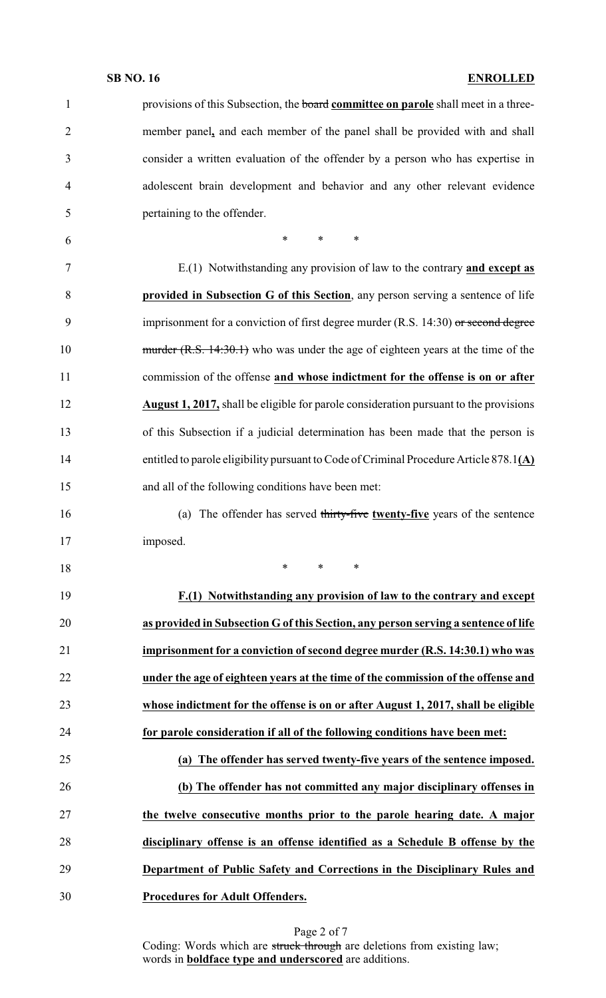| $\mathbf{1}$   | provisions of this Subsection, the board committee on parole shall meet in a three-           |
|----------------|-----------------------------------------------------------------------------------------------|
| $\overline{2}$ | member panel, and each member of the panel shall be provided with and shall                   |
| 3              | consider a written evaluation of the offender by a person who has expertise in                |
| $\overline{4}$ | adolescent brain development and behavior and any other relevant evidence                     |
| 5              | pertaining to the offender.                                                                   |
| 6              | $\ast$<br>$\ast$<br>$\ast$                                                                    |
| $\tau$         | E.(1) Notwithstanding any provision of law to the contrary and except as                      |
| 8              | provided in Subsection G of this Section, any person serving a sentence of life               |
| 9              | imprisonment for a conviction of first degree murder $(R.S. 14:30)$ or second degree          |
| 10             | $\frac{murd \cdot}{R.S.}$ 14:30.1) who was under the age of eighteen years at the time of the |
| 11             | commission of the offense and whose indictment for the offense is on or after                 |
| 12             | <b>August 1, 2017,</b> shall be eligible for parole consideration pursuant to the provisions  |
| 13             | of this Subsection if a judicial determination has been made that the person is               |
| 14             | entitled to parole eligibility pursuant to Code of Criminal Procedure Article 878.1(A)        |
| 15             | and all of the following conditions have been met:                                            |
| 16             | (a) The offender has served thirty-five twenty-five years of the sentence                     |
| 17             | imposed.                                                                                      |
| 18             | $\ast$<br>∗<br>$\ast$                                                                         |
| 19             | F.(1) Notwithstanding any provision of law to the contrary and except                         |
| 20             | as provided in Subsection G of this Section, any person serving a sentence of life            |
| 21             | imprisonment for a conviction of second degree murder (R.S. 14:30.1) who was                  |
| 22             | under the age of eighteen years at the time of the commission of the offense and              |
| 23             | whose indictment for the offense is on or after August 1, 2017, shall be eligible             |
| 24             | for parole consideration if all of the following conditions have been met:                    |
| 25             | (a) The offender has served twenty-five years of the sentence imposed.                        |
| 26             | (b) The offender has not committed any major disciplinary offenses in                         |
| 27             | the twelve consecutive months prior to the parole hearing date. A major                       |
| 28             | disciplinary offense is an offense identified as a Schedule B offense by the                  |
| 29             | Department of Public Safety and Corrections in the Disciplinary Rules and                     |
| 30             | Procedures for Adult Offenders.                                                               |

Page 2 of 7 Coding: Words which are struck through are deletions from existing law; words in **boldface type and underscored** are additions.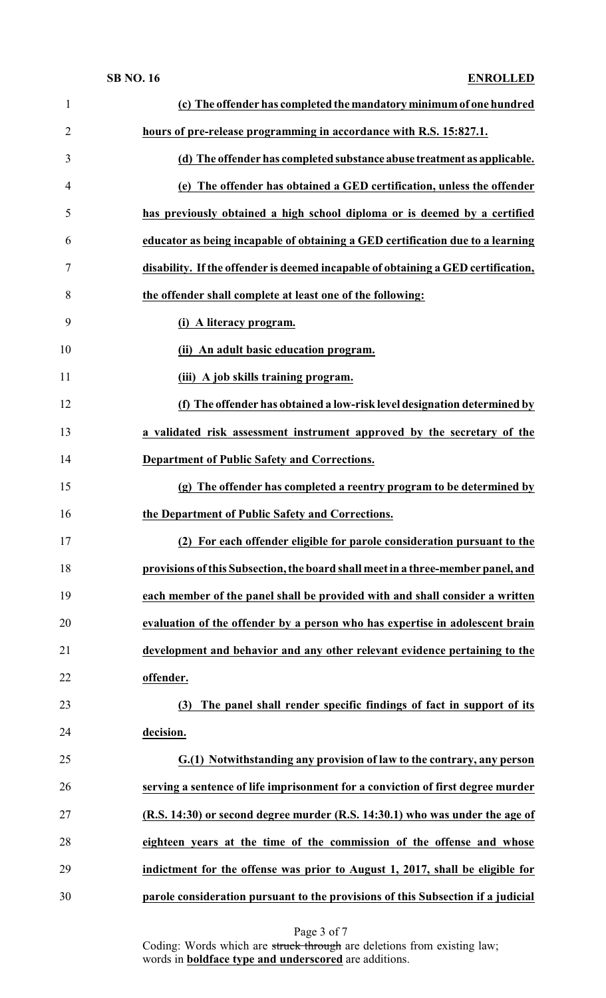| $\mathbf{1}$   | (c) The offender has completed the mandatory minimum of one hundred               |
|----------------|-----------------------------------------------------------------------------------|
| $\overline{2}$ | hours of pre-release programming in accordance with R.S. 15:827.1.                |
| 3              | (d) The offender has completed substance abuse treatment as applicable.           |
| 4              | (e) The offender has obtained a GED certification, unless the offender            |
| 5              | has previously obtained a high school diploma or is deemed by a certified         |
| 6              | educator as being incapable of obtaining a GED certification due to a learning    |
| 7              | disability. If the offender is deemed incapable of obtaining a GED certification, |
| 8              | the offender shall complete at least one of the following:                        |
| 9              | (i) A literacy program.                                                           |
| 10             | (ii) An adult basic education program.                                            |
| 11             | (iii) A job skills training program.                                              |
| 12             | (f) The offender has obtained a low-risk level designation determined by          |
| 13             | a validated risk assessment instrument approved by the secretary of the           |
| 14             | Department of Public Safety and Corrections.                                      |
| 15             | (g) The offender has completed a reentry program to be determined by              |
| 16             | the Department of Public Safety and Corrections.                                  |
| 17             | (2) For each offender eligible for parole consideration pursuant to the           |
| 18             | provisions of this Subsection, the board shall meet in a three-member panel, and  |
| 19             | each member of the panel shall be provided with and shall consider a written      |
| 20             | evaluation of the offender by a person who has expertise in adolescent brain      |
| 21             | development and behavior and any other relevant evidence pertaining to the        |
| 22             | offender.                                                                         |
| 23             | The panel shall render specific findings of fact in support of its<br>(3)         |
| 24             | decision.                                                                         |
| 25             | G.(1) Notwithstanding any provision of law to the contrary, any person            |
| 26             | serving a sentence of life imprisonment for a conviction of first degree murder   |
| 27             | (R.S. 14:30) or second degree murder (R.S. 14:30.1) who was under the age of      |
| 28             | eighteen years at the time of the commission of the offense and whose             |
| 29             | indictment for the offense was prior to August 1, 2017, shall be eligible for     |
| 30             | parole consideration pursuant to the provisions of this Subsection if a judicial  |

Page 3 of 7

Coding: Words which are struck through are deletions from existing law; words in **boldface type and underscored** are additions.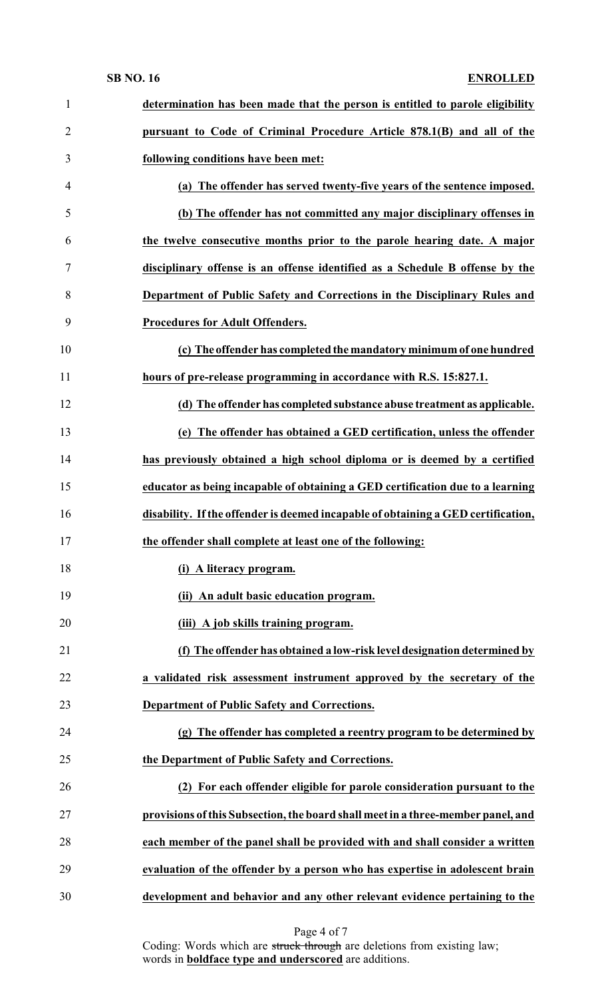| 1              | determination has been made that the person is entitled to parole eligibility     |
|----------------|-----------------------------------------------------------------------------------|
| $\overline{2}$ | pursuant to Code of Criminal Procedure Article 878.1(B) and all of the            |
| 3              | following conditions have been met:                                               |
| 4              | (a) The offender has served twenty-five years of the sentence imposed.            |
| 5              | (b) The offender has not committed any major disciplinary offenses in             |
| 6              | the twelve consecutive months prior to the parole hearing date. A major           |
| 7              | disciplinary offense is an offense identified as a Schedule B offense by the      |
| 8              | Department of Public Safety and Corrections in the Disciplinary Rules and         |
| 9              | Procedures for Adult Offenders.                                                   |
| 10             | (c) The offender has completed the mandatory minimum of one hundred               |
| 11             | hours of pre-release programming in accordance with R.S. 15:827.1.                |
| 12             | (d) The offender has completed substance abuse treatment as applicable.           |
| 13             | (e) The offender has obtained a GED certification, unless the offender            |
| 14             | has previously obtained a high school diploma or is deemed by a certified         |
| 15             | educator as being incapable of obtaining a GED certification due to a learning    |
| 16             | disability. If the offender is deemed incapable of obtaining a GED certification, |
| 17             | the offender shall complete at least one of the following:                        |
| 18             | (i) A literacy program.                                                           |
| 19             | (ii) An adult basic education program.                                            |
| 20             | (iii) A job skills training program.                                              |
| 21             | (f) The offender has obtained a low-risk level designation determined by          |
| 22             | a validated risk assessment instrument approved by the secretary of the           |
| 23             | <b>Department of Public Safety and Corrections.</b>                               |
| 24             | (g) The offender has completed a reentry program to be determined by              |
| 25             | the Department of Public Safety and Corrections.                                  |
| 26             | (2) For each offender eligible for parole consideration pursuant to the           |
| 27             | provisions of this Subsection, the board shall meet in a three-member panel, and  |
| 28             | each member of the panel shall be provided with and shall consider a written      |
| 29             | evaluation of the offender by a person who has expertise in adolescent brain      |
| 30             | development and behavior and any other relevant evidence pertaining to the        |

Page 4 of 7

Coding: Words which are struck through are deletions from existing law; words in **boldface type and underscored** are additions.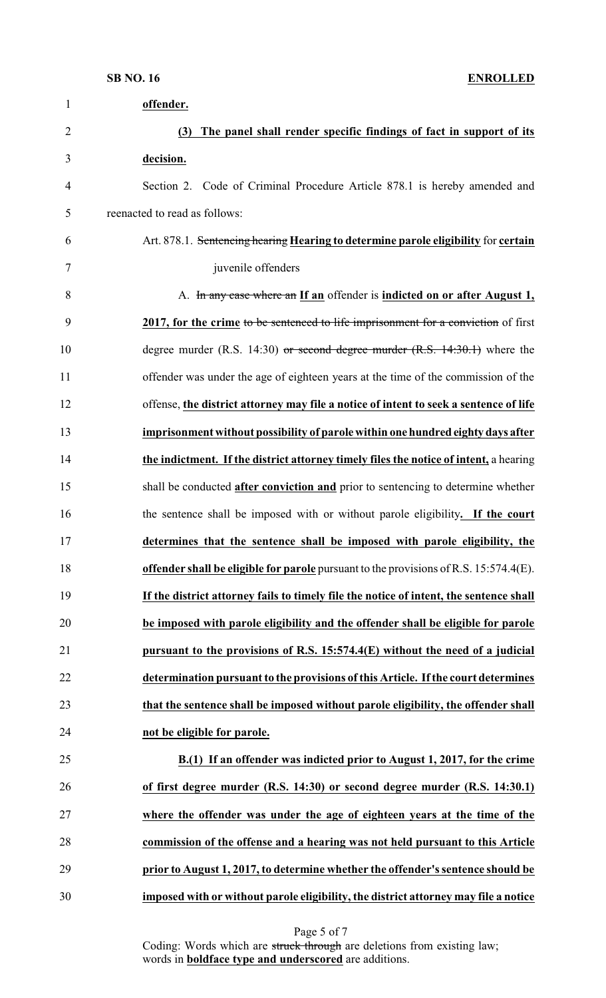| $\mathbf{1}$   | offender.                                                                               |
|----------------|-----------------------------------------------------------------------------------------|
| $\overline{2}$ | The panel shall render specific findings of fact in support of its<br>(3)               |
| 3              | decision.                                                                               |
| $\overline{4}$ | Section 2. Code of Criminal Procedure Article 878.1 is hereby amended and               |
| 5              | reenacted to read as follows:                                                           |
| 6              | Art. 878.1. Sentencing hearing Hearing to determine parole eligibility for certain      |
| 7              | juvenile offenders                                                                      |
| 8              | A. In any case where an If an offender is indicted on or after August 1,                |
| 9              | 2017, for the crime to be sentenced to life imprisonment for a conviction of first      |
| 10             | degree murder (R.S. 14:30) or second degree murder $(R.S. 14:30.1)$ where the           |
| 11             | offender was under the age of eighteen years at the time of the commission of the       |
| 12             | offense, the district attorney may file a notice of intent to seek a sentence of life   |
| 13             | imprisonment without possibility of parole within one hundred eighty days after         |
| 14             | the indictment. If the district attorney timely files the notice of intent, a hearing   |
| 15             | shall be conducted <b>after conviction and</b> prior to sentencing to determine whether |
| 16             | the sentence shall be imposed with or without parole eligibility. If the court          |
| 17             | determines that the sentence shall be imposed with parole eligibility, the              |
| 18             | offender shall be eligible for parole pursuant to the provisions of R.S. 15:574.4(E).   |
| 19             | If the district attorney fails to timely file the notice of intent, the sentence shall  |
| 20             | be imposed with parole eligibility and the offender shall be eligible for parole        |
| 21             | pursuant to the provisions of R.S. $15:574.4(E)$ without the need of a judicial         |
| 22             | determination pursuant to the provisions of this Article. If the court determines       |
| 23             | that the sentence shall be imposed without parole eligibility, the offender shall       |
| 24             | not be eligible for parole.                                                             |
| 25             | B.(1) If an offender was indicted prior to August 1, 2017, for the crime                |
| 26             | of first degree murder (R.S. 14:30) or second degree murder (R.S. 14:30.1)              |
| 27             | where the offender was under the age of eighteen years at the time of the               |
| 28             | commission of the offense and a hearing was not held pursuant to this Article           |
| 29             | prior to August 1, 2017, to determine whether the offender's sentence should be         |
| 30             | imposed with or without parole eligibility, the district attorney may file a notice     |

Coding: Words which are struck through are deletions from existing law; words in **boldface type and underscored** are additions.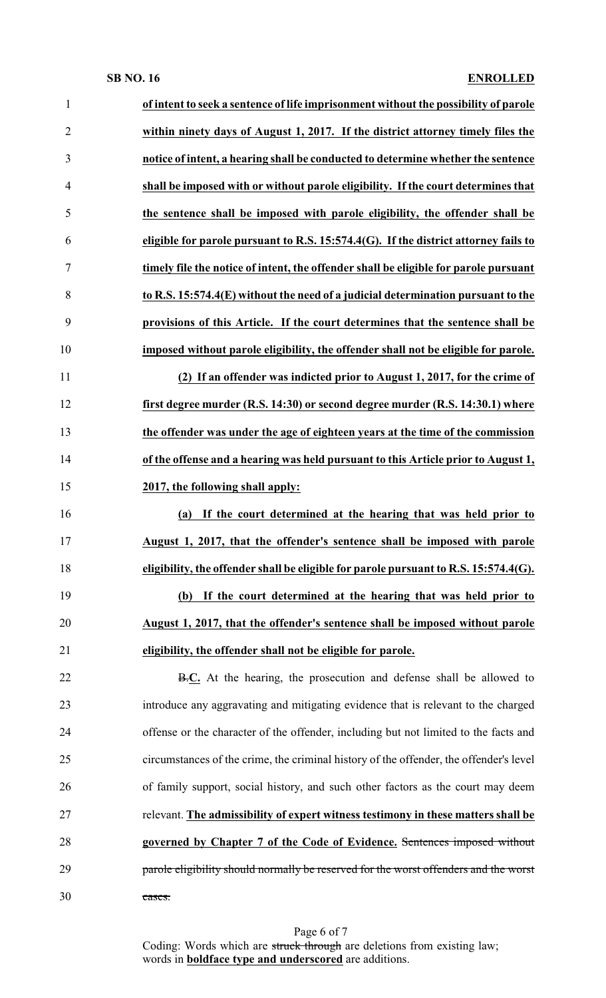| 1              | of intent to seek a sentence of life imprisonment without the possibility of parole    |
|----------------|----------------------------------------------------------------------------------------|
| $\overline{2}$ | within ninety days of August 1, 2017. If the district attorney timely files the        |
| 3              | notice of intent, a hearing shall be conducted to determine whether the sentence       |
| $\overline{4}$ | shall be imposed with or without parole eligibility. If the court determines that      |
| 5              | the sentence shall be imposed with parole eligibility, the offender shall be           |
| 6              | eligible for parole pursuant to R.S. $15:574.4(G)$ . If the district attorney fails to |
| $\tau$         | timely file the notice of intent, the offender shall be eligible for parole pursuant   |
| 8              | to R.S. 15:574.4(E) without the need of a judicial determination pursuant to the       |
| 9              | provisions of this Article. If the court determines that the sentence shall be         |
| 10             | imposed without parole eligibility, the offender shall not be eligible for parole.     |
| 11             | (2) If an offender was indicted prior to August 1, 2017, for the crime of              |
| 12             | first degree murder (R.S. 14:30) or second degree murder (R.S. 14:30.1) where          |
| 13             | the offender was under the age of eighteen years at the time of the commission         |
| 14             | of the offense and a hearing was held pursuant to this Article prior to August 1,      |
| 15             | 2017, the following shall apply:                                                       |
| 16             | If the court determined at the hearing that was held prior to<br>(a)                   |
| 17             | August 1, 2017, that the offender's sentence shall be imposed with parole              |
| 18             | eligibility, the offender shall be eligible for parole pursuant to R.S. 15:574.4(G).   |
| 19             | (b) If the court determined at the hearing that was held prior to                      |
| 20             | August 1, 2017, that the offender's sentence shall be imposed without parole           |
| 21             | eligibility, the offender shall not be eligible for parole.                            |
| 22             | B.C. At the hearing, the prosecution and defense shall be allowed to                   |
| 23             | introduce any aggravating and mitigating evidence that is relevant to the charged      |
| 24             | offense or the character of the offender, including but not limited to the facts and   |
| 25             | circumstances of the crime, the criminal history of the offender, the offender's level |
| 26             | of family support, social history, and such other factors as the court may deem        |
| 27             | relevant. The admissibility of expert witness testimony in these matters shall be      |
| 28             | governed by Chapter 7 of the Code of Evidence. Sentences imposed without               |
| 29             | parole eligibility should normally be reserved for the worst offenders and the worst   |
| 30             | cases.                                                                                 |
|                |                                                                                        |

Page 6 of 7 Coding: Words which are struck through are deletions from existing law; words in **boldface type and underscored** are additions.